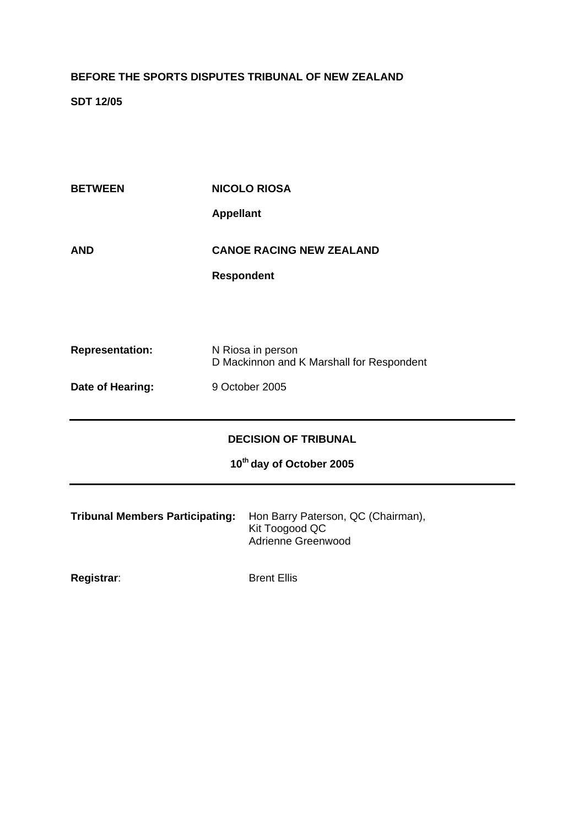## **BEFORE THE SPORTS DISPUTES TRIBUNAL OF NEW ZEALAND**

**SDT 12/05** 

| <b>BETWEEN</b>                         | <b>NICOLO RIOSA</b>                                            |
|----------------------------------------|----------------------------------------------------------------|
|                                        | <b>Appellant</b>                                               |
| <b>AND</b>                             | <b>CANOE RACING NEW ZEALAND</b>                                |
|                                        | <b>Respondent</b>                                              |
|                                        |                                                                |
|                                        |                                                                |
|                                        |                                                                |
| <b>Representation:</b>                 | N Riosa in person<br>D Mackinnon and K Marshall for Respondent |
| Date of Hearing:                       | 9 October 2005                                                 |
|                                        |                                                                |
|                                        |                                                                |
| <b>DECISION OF TRIBUNAL</b>            |                                                                |
| 10 <sup>th</sup> day of October 2005   |                                                                |
|                                        |                                                                |
| <b>Tribunal Members Participating:</b> | Hon Barry Paterson, QC (Chairman),<br>Kit Toogood QC           |
|                                        | Adrienne Greenwood                                             |
|                                        |                                                                |
| Registrar:                             | <b>Brent Ellis</b>                                             |